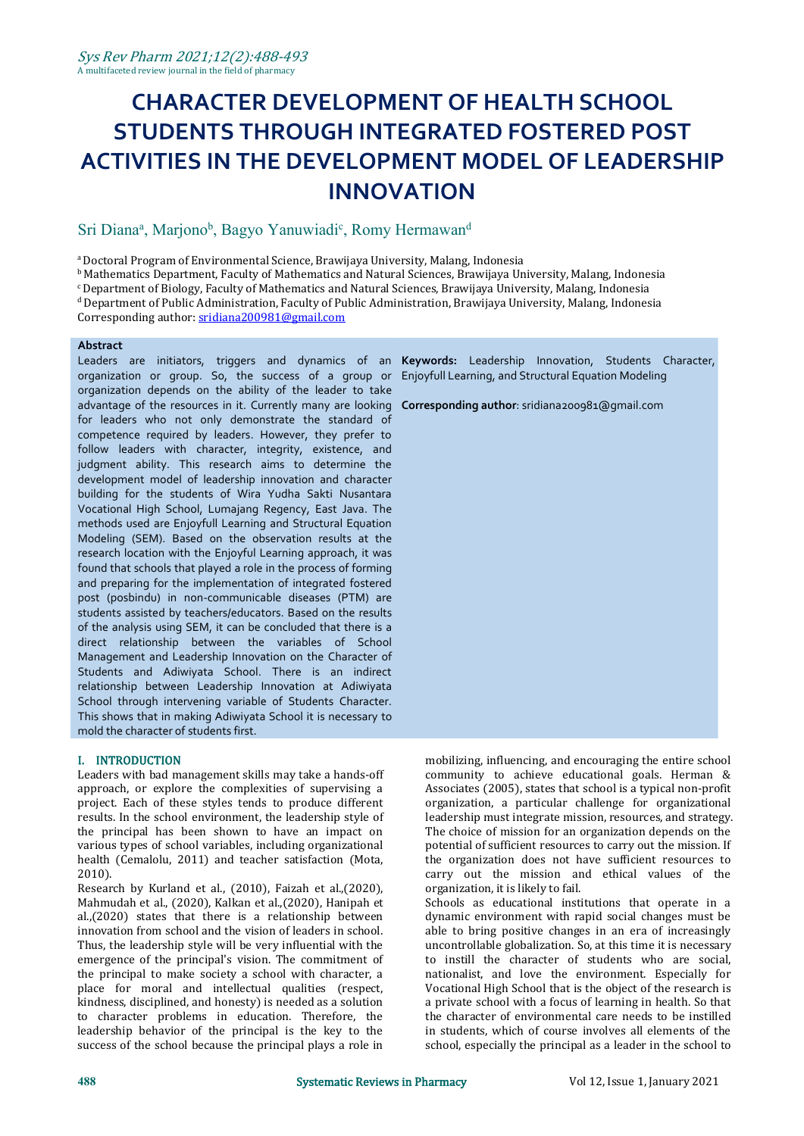# **CHARACTER DEVELOPMENT OF HEALTH SCHOOL STUDENTS THROUGH INTEGRATED FOSTERED POST ACTIVITIES IN THE DEVELOPMENT MODEL OF LEADERSHIP INNOVATION**

#### Sri Diana<sup>a</sup>, Marjono<sup>b</sup>, Bagyo Yanuwiadi<sup>c</sup>, Romy Hermawan<sup>d</sup> d<sub>d</sub>

<sup>a</sup>Doctoral Program of Environmental Science, Brawijaya University, Malang, Indonesia

<sup>b</sup> Mathematics Department, Faculty of Mathematics and Natural Sciences, Brawijaya University, Malang, Indonesia

 $c$  Department of Biology, Faculty of Mathematics and Natural Sciences, Brawijaya University, Malang, Indonesia

 $d$  Department of Public Administration, Faculty of Public Administration, Brawijaya University, Malang, Indonesia Corresponding author: [sridiana200981@gmail.com](mailto:sridiana200981@gmail.com)

#### **Abstract**

organization depends on the ability of the leader to take advantage of the resources in it. Currently many are looking **Corresponding author**: [sridiana200981@gmail.com](mailto:sridiana200981@gmail.com) for leaders who not only demonstrate the standard of competence required by leaders. However, they prefer to follow leaders with character, integrity, existence, and judgment ability. This research aims to determine the development model of leadership innovation and character building for the students of Wira Yudha Sakti Nusantara Vocational High School, Lumajang Regency, East Java. The methods used are Enjoyfull Learning and Structural Equation Modeling (SEM). Based on the observation results at the research location with the Enjoyful Learning approach, it was found that schools that played a role in the process of forming and preparing for the implementation of integrated fostered post (posbindu) in non-communicable diseases (PTM) are students assisted by teachers/educators. Based on the results of the analysis using SEM, it can be concluded that there is a direct relationship between the variables of School Management and Leadership Innovation on the Character of Students and Adiwiyata School. There is an indirect relationship between Leadership Innovation at Adiwiyata School through intervening variable of Students Character. This shows that in making Adiwiyata School it is necessary to mold the character of students first.

### I. INTRODUCTION

Leaders with bad management skills may take a hands-off approach, or explore the complexities of supervising a project. Each of these styles tends to produce different results. In the school environment, the leadership style of the principal has been shown to have an impact on various types of school variables, including organizational health (Cemalolu, 2011) and teacher satisfaction (Mota, 2010).

Research by Kurland et al., (2010), Faizah et al.,(2020), Mahmudah et al., (2020), Kalkan et al.,(2020), Hanipah et al.,(2020) states that there is a relationship between innovation from school and the vision of leaders in school. Thus, the leadership style will be very influential with the emergence of the principal's vision. The commitment of the principal to make society a school with character, a place for moral and intellectual qualities (respect, kindness, disciplined, and honesty) is needed as a solution to character problems in education. Therefore, the leadership behavior of the principal is the key to the success of the school because the principal plays a role in

Leaders are initiators, triggers and dynamics of an **Keywords:** Leadership Innovation, Students Character, organization or group.So, the success of a group or Enjoyfull Learning, and Structural Equation Modeling

mobilizing, influencing, and encouraging the entire school community to achieve educational goals. Herman & Associates (2005), states that school is a typical non-profit organization, a particular challenge for organizational leadership must integrate mission, resources, and strategy. The choice of mission for an organization depends on the potential of sufficient resources to carry out the mission. If the organization does not have sufficient resources to carry out the mission and ethical values of the organization, it is likely to fail.

Schools as educational institutions that operate in a dynamic environment with rapid social changes must be able to bring positive changes in an era of increasingly uncontrollable globalization. So, at this time it is necessary to instill the character of students who are social, nationalist, and love the environment. Especially for Vocational High School that is the object of the research is a private school with a focus of learning in health. So that the character of environmental care needs to be instilled in students, which of course involves all elements of the school, especially the principal as a leader in the school to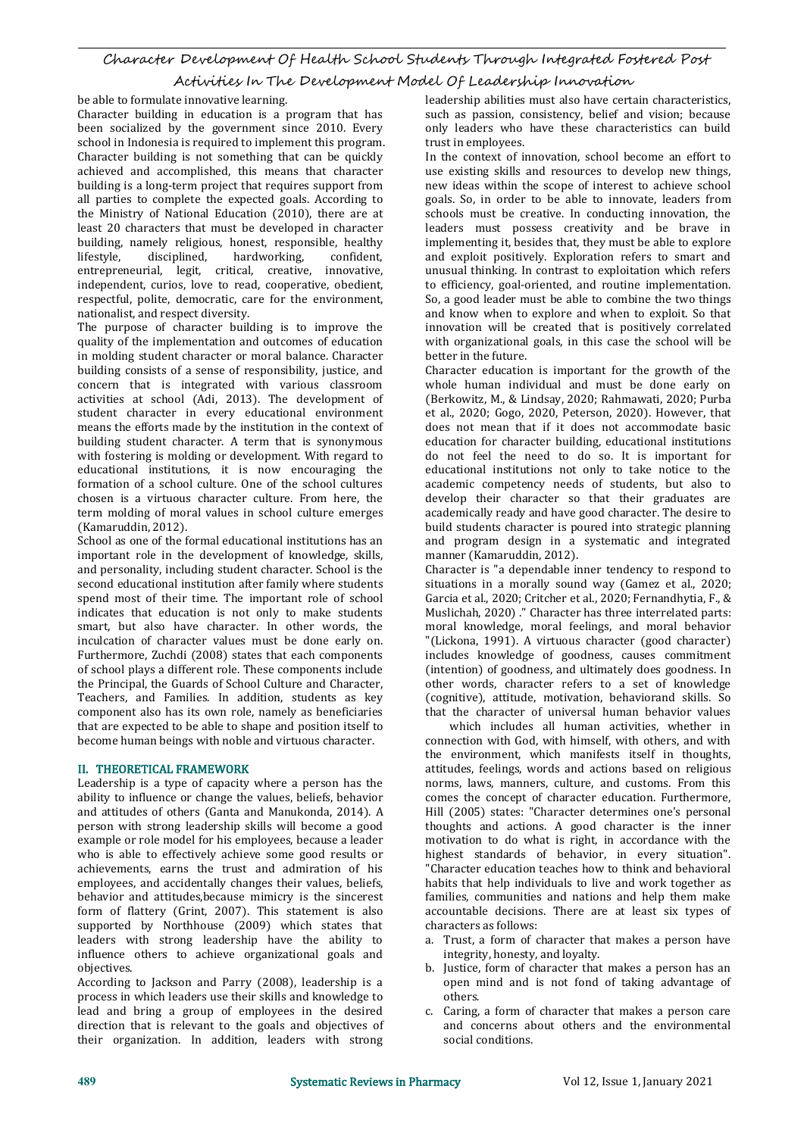## Character Development Of Health School Students Through Integrated Fostered Post

Activities In The Development Model Of Leadership Innovation

be able to formulate innovative learning.

Character building in education is a program that has been socialized by the government since 2010. Every school in Indonesia is required to implement this program. Character building is not something that can be quickly achieved and accomplished, this means that character building is a long-term project that requires support from all parties to complete the expected goals. According to the Ministry of National Education (2010), there are at least 20 characters that must be developed in character building, namely religious, honest, responsible, healthy lifestyle, disciplined, hardworking, confident, hardworking, entrepreneurial, legit, critical, creative, innovative, independent, curios, love to read, cooperative, obedient, respectful, polite, democratic, care for the environment, nationalist, and respect diversity.

The purpose of character building is to improve the quality of the implementation and outcomes of education in molding student character or moral balance. Character building consists of a sense of responsibility, justice, and concern that is integrated with various classroom activities at school (Adi, 2013). The development of student character in every educational environment means the efforts made by the institution in the context of building student character. A term that is synonymous with fostering is molding or development. With regard to educational institutions, it is now encouraging the formation of a school culture. One of the school cultures chosen is a virtuous character culture. From here, the term molding of moral values in school culture emerges (Kamaruddin, 2012).

School as one of the formal educational institutions has an important role in the development of knowledge, skills, and personality, including student character. School is the second educational institution after family where students spend most of their time. The important role of school indicates that education is not only to make students smart, but also have character. In other words, the inculcation of character values must be done early on. Furthermore, Zuchdi (2008) states that each components of school plays a different role. These components include the Principal, the Guards of School Culture and Character, Teachers, and Families. In addition, students as key component also has its own role, namely as beneficiaries that are expected to be able to shape and position itself to become human beings with noble and virtuous character.

### II. THEORETICAL FRAMEWORK

Leadership is a type of capacity where a person has the ability to influence or change the values, beliefs, behavior and attitudes of others (Ganta and Manukonda, 2014). A person with strong leadership skills will become a good example or role model for his employees, because a leader who is able to effectively achieve some good results or achievements, earns the trust and admiration of his employees, and accidentally changes their values, beliefs, behavior and attitudes,because mimicry is the sincerest form of flattery (Grint, 2007). This statement is also supported by Northhouse (2009) which states that leaders with strong leadership have the ability to influence others to achieve organizational goals and objectives.

According to Jackson and Parry (2008), leadership is a process in which leaders use their skills and knowledge to lead and bring a group of employees in the desired direction that is relevant to the goals and objectives of their organization. In addition, leaders with strong leadership abilities must also have certain characteristics, such as passion, consistency, belief and vision; because only leaders who have these characteristics can build trust in employees.

In the context of innovation, school become an effort to use existing skills and resources to develop new things, new ideas within the scope of interest to achieve school goals. So, in order to be able to innovate, leaders from schools must be creative. In conducting innovation, the leaders must possess creativity and be brave in implementing it, besides that, they must be able to explore and exploit positively. Exploration refers to smart and unusual thinking. In contrast to exploitation which refers to efficiency, goal-oriented, and routine implementation. So, a good leader must be able to combine the two things and know when to explore and when to exploit. So that innovation will be created that is positively correlated with organizational goals, in this case the school will be better in the future.

Character education is important for the growth of the whole human individual and must be done early on (Berkowitz, M., & Lindsay, 2020; Rahmawati, 2020; Purba et al., 2020; Gogo, 2020, Peterson, 2020). However, that does not mean that if it does not accommodate basic education for character building, educational institutions do not feel the need to do so. It is important for educational institutions not only to take notice to the academic competency needs of students, but also to develop their character so that their graduates are academically ready and have good character. The desire to build students character is poured into strategic planning and program design in a systematic and integrated manner (Kamaruddin, 2012).

Character is "a dependable inner tendency to respond to situations in a morally sound way (Gamez et al., 2020; Garcia et al., 2020; Critcher et al., 2020; Fernandhytia, F., & Muslichah, 2020) ." Character has three interrelated parts: moral knowledge, moral feelings, and moral behavior "(Lickona, 1991). A virtuous character (good character) includes knowledge of goodness, causes commitment (intention) of goodness, and ultimately does goodness. In other words, character refers to a set of knowledge (cognitive), attitude, motivation, behaviorand skills. So that the character of universal human behavior values

which includes all human activities, whether in connection with God, with himself, with others, and with the environment, which manifests itself in thoughts, attitudes, feelings, words and actions based on religious norms, laws, manners, culture, and customs. From this comes the concept of character education. Furthermore, Hill (2005) states: "Character determines one's personal thoughts and actions. A good character is the inner motivation to do what is right, in accordance with the highest standards of behavior, in every situation". "Character education teaches how to think and behavioral habits that help individuals to live and work together as families, communities and nations and help them make accountable decisions. There are at least six types of characters as follows:

- a. Trust, a form of character that makes a person have integrity, honesty, and loyalty.
- b. Justice, form of character that makes a person has an open mind and is not fond of taking advantage of others.
- c. Caring, a form of character that makes a person care and concerns about others and the environmental social conditions.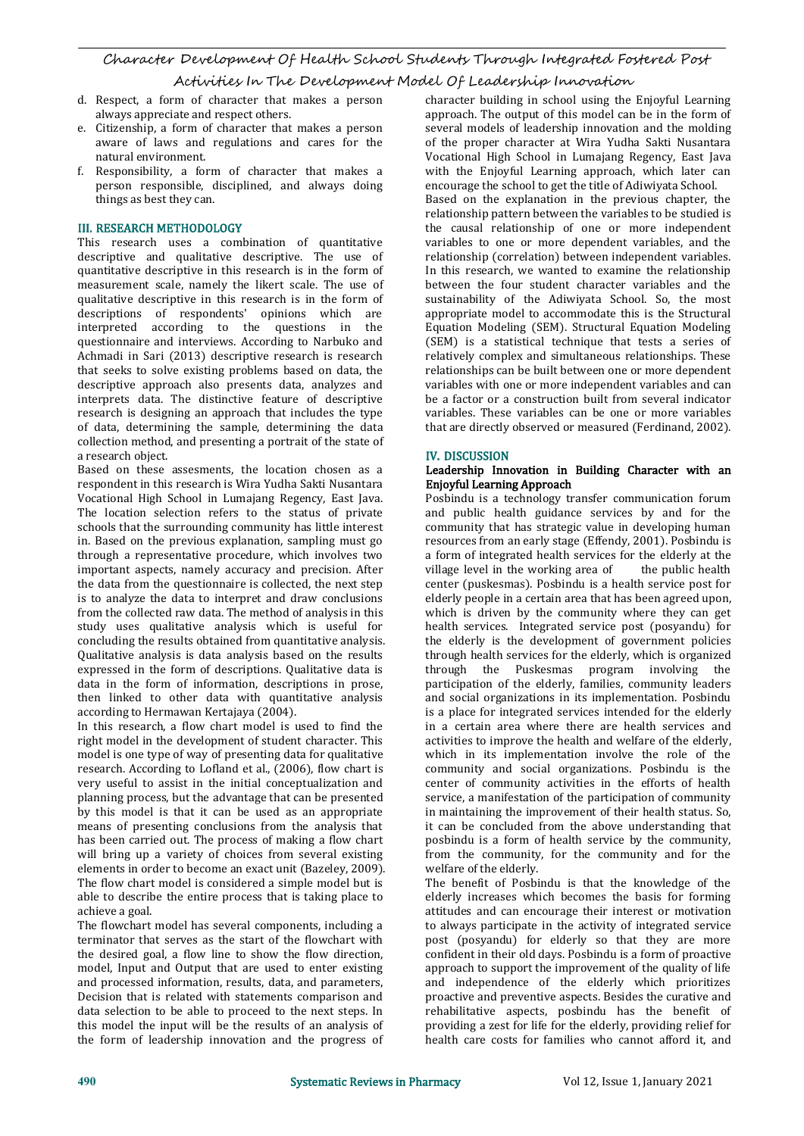- d. Respect, a form of character that makes a person always appreciate and respect others.
- e. Citizenship, a form of character that makes a person aware of laws and regulations and cares for the natural environment.
- f. Responsibility, a form of character that makes a person responsible, disciplined, and always doing things as best they can.

### III. RESEARCH METHODOLOGY

This research uses a combination of quantitative descriptive and qualitative descriptive. The use of quantitative descriptive in this research is in the form of measurement scale, namely the likert scale. The use of between the four student character variables and the qualitative descriptive in this research is in the form of sustainability of the Adiwiyata School. So, the most qualitative descriptive in this research is in the form of descriptions of respondents' opinions which are interpreted according to the questions in the questionnaire and interviews. According to Narbuko and Achmadi in Sari (2013) descriptive research is research that seeks to solve existing problems based on data, the descriptive approach also presents data, analyzes and interprets data. The distinctive feature of descriptive research is designing an approach that includes the type of data, determining the sample, determining the data collection method, and presenting a portrait of the state of<br>a research object.

Based on these assesments, the location chosen as a respondent in this research is Wira Yudha Sakti Nusantara Vocational High School in Lumajang Regency, East Java. The location selection refers to the status of private schools that the surrounding community has little interest in. Based on the previous explanation, sampling must go through a representative procedure, which involves two important aspects, namely accuracy and precision. After the data from the questionnaire is collected, the next step is to analyze the data to interpret and draw conclusions from the collected raw data. The method of analysis in this study uses qualitative analysis which is useful for concluding the results obtained from quantitative analysis. Qualitative analysis is data analysis based on the results expressed in the form of descriptions. Qualitative data is data in the form of information, descriptions in prose, then linked to other data with quantitative analysis according to Hermawan Kertajaya (2004).

In this research, a flow chart model is used to find the right model in the development of student character. This model is one type of way of presenting data for qualitative research. According to Lofland et al., (2006), flow chart is very useful to assist in the initial conceptualization and planning process, but the advantage that can be presented by this model is that it can be used as an appropriate means of presenting conclusions from the analysis that has been carried out. The process of making a flow chart will bring up a variety of choices from several existing elements in order to become an exact unit (Bazeley, 2009). The flow chart model is considered a simple model but is able to describe the entire process that is taking place to achieve a goal.

The flowchart model has several components, including a terminator that serves as the start of the flowchart with the desired goal, a flow line to show the flow direction, model, Input and Output that are used to enter existing and processed information, results, data, and parameters, Decision that is related with statements comparison and data selection to be able to proceed to the next steps. In this model the input will be the results of an analysis of the form of leadership innovation and the progress of character building in school using the Enjoyful Learning approach. The output of this model can be in the form of several models of leadership innovation and the molding of the proper character at Wira Yudha Sakti Nusantara Vocational High School in Lumajang Regency, East Java with the Enjoyful Learning approach, which later can encourage the school to get the title of Adiwiyata School. Based on the explanation in the previous chapter, the relationship pattern between the variables to be studied is the causal relationship of one or more independent variables to one or more dependent variables, and the relationship (correlation) between independent variables. In this research, we wanted to examine the relationship between the four student character variables and the appropriate model to accommodate this is the Structural Equation Modeling (SEM). Structural Equation Modeling (SEM) is a statistical technique that tests a series of relatively complex and simultaneous relationships. These relationships can be built between one or more dependent variables with one or more independent variables and can be a factor or a construction built from several indicator variables. These variables can be one or more variables that are directly observed or measured (Ferdinand, 2002).

### IV. DISCUSSION

#### Leadership Innovation in Building Character with an Enjoyful Learning Approach

Posbindu is a technology transfer communication forum and public health guidance services by and for the community that has strategic value in developing human resources from an early stage (Effendy, 2001). Posbindu is a form of integrated health services for the elderly at the village level in the working area of the public health village level in the working area of center (puskesmas). Posbindu is a health service post for elderly people in a certain area that has been agreed upon, which is driven by the community where they can get health services. Integrated service post (posyandu) for the elderly is the development of government policies through health services for the elderly, which is organized through the Puskesmas program involving the participation of the elderly, families, community leaders and social organizations in its implementation. Posbindu is a place for integrated services intended for the elderly in a certain area where there are health services and activities to improve the health and welfare of the elderly, which in its implementation involve the role of the community and social organizations. Posbindu is the center of community activities in the efforts of health service, a manifestation of the participation of community in maintaining the improvement of their health status. So, it can be concluded from the above understanding that posbindu is a form of health service by the community, from the community, for the community and for the welfare of the elderly.

The benefit of Posbindu is that the knowledge of the elderly increases which becomes the basis for forming attitudes and can encourage their interest or motivation to always participate in the activity of integrated service post (posyandu) for elderly so that they are more confident in their old days. Posbindu is a form of proactive approach to support the improvement of the quality of life and independence of the elderly which prioritizes proactive and preventive aspects. Besides the curative and rehabilitative aspects, posbindu has the benefit of providing a zest for life for the elderly, providing relief for health care costs for families who cannot afford it, and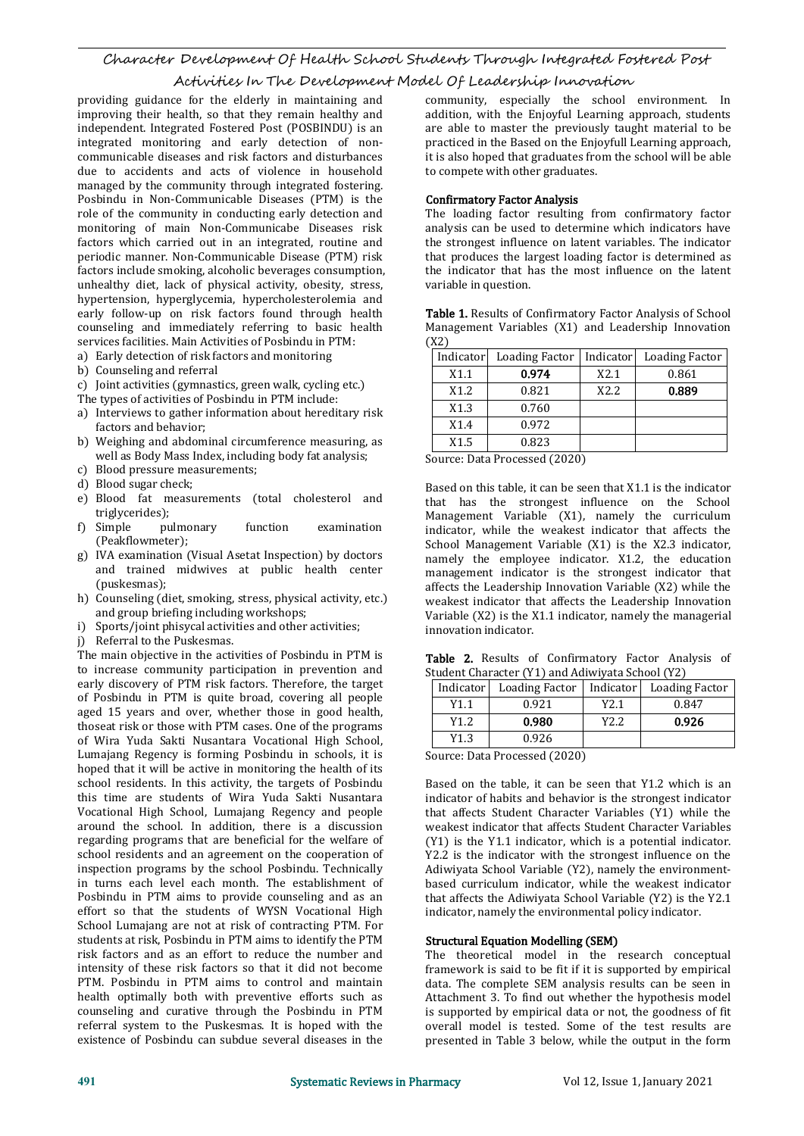providing guidance for the elderly in maintaining and improving their health, so that they remain healthy and independent. Integrated Fostered Post (POSBINDU) is an integrated monitoring and early detection of non communicable diseases and risk factors and disturbances due to accidents and acts of violence in household managed by the community through integrated fostering. Posbindu in Non-Communicable Diseases (PTM) is the role of the community in conducting early detection and monitoring of main Non-Communicabe Diseases risk factors which carried out in an integrated, routine and periodic manner. Non-Communicable Disease (PTM) risk factors include smoking, alcoholic beverages consumption, unhealthy diet, lack of physical activity, obesity, stress, hypertension, hyperglycemia, hypercholesterolemia and early follow-up on risk factors found through health counseling and immediately referring to basic health Man services facilities Main Activities of Poshindu in PTM services facilities. Main Activities of Posbindu in PTM:

- a) Early detection of risk factors and monitoring
- b) Counseling and referral
- c) Joint activities (gymnastics, green walk, cycling etc.)
- The types of activities of Posbindu in PTM include:
- a) Interviews to gather information about hereditary risk factors and behavior;
- b) Weighing and abdominal circumference measuring, as well as Body Mass Index, including body fat analysis;
- c) Blood pressure measurements;<br>d) Blood sugar check;
- 
- e) Blood fat measurements (total cholesterol and triglycerides);<br>f) Simple pulmonary
- (Peakflowmeter);
- g) IVA examination (Visual Asetat Inspection) by doctors and trained midwives at public health center (puskesmas);
- h) Counseling (diet, smoking, stress, physical activity, etc.) and group briefing including workshops;
- i) Sports/joint phisycal activities and other activities;
- j) Referral to the Puskesmas.

The main objective in the activities of Posbindu in PTM is to increase community participation in prevention and early discovery of PTM risk factors. Therefore, the target of Posbindu in PTM is quite broad, covering all people aged 15 years and over, whether those in good health, thoseat risk or those with PTM cases. One of the programs of Wira Yuda Sakti Nusantara Vocational High School, Lumajang Regency is forming Posbindu in schools, it is hoped that it will be active in monitoring the health of its school residents. In this activity, the targets of Posbindu this time are students of Wira Yuda Sakti Nusantara Vocational High School, Lumajang Regency and people around the school. In addition, there is a discussion regarding programs that are beneficial for the welfare of school residents and an agreement on the cooperation of inspection programs by the school Posbindu. Technically in turns each level each month. The establishment of Posbindu in PTM aims to provide counseling and as an effort so that the students of WYSN Vocational High School Lumajang are not at risk of contracting PTM. For students at risk, Posbindu in PTM aims to identify the PTM risk factors and as an effort to reduce the number and intensity of these risk factors so that it did not become PTM. Posbindu in PTM aims to control and maintain health optimally both with preventive efforts such as counseling and curative through the Posbindu in PTM referral system to the Puskesmas. It is hoped with the existence of Posbindu can subdue several diseases in the

community, especially the school environment. In addition, with the Enjoyful Learning approach, students are able to master the previously taught material to be practiced in the Based on the Enjoyfull Learning approach, it is also hoped that graduates from the school will be able to compete with other graduates.

#### Confirmatory Factor Analysis

The loading factor resulting from confirmatory factor analysis can be used to determine which indicators have the strongest influence on latent variables. The indicator that produces the largest loading factor is determined as the indicator that has the most influence on the latent variable in question.

Table 1. Results of Confirmatory Factor Analysis of School Management Variables (X1) and Leadership Innovation  $(\underline{X2})$ 

| Indicator | Loading Factor   Indicator |      | Loading Factor |
|-----------|----------------------------|------|----------------|
| X1.1      | 0.974                      | X2.1 | 0.861          |
| X1.2      | 0.821                      | X2.2 | 0.889          |
| X1.3      | 0.760                      |      |                |
| X1.4      | 0.972                      |      |                |
| X1.5      | 0.823                      |      |                |

Source: Data Processed (2020)

f) Simple pulmonary function examination indicator, while the weakest indicator that affects the Based on this table, it can be seen that X1.1 is the indicator that has the strongest influence on the School Management Variable (X1), namely the curriculum School Management Variable (X1) is the X2.3 indicator, namely the employee indicator. X1.2, the education management indicator is the strongest indicator that affects the Leadership Innovation Variable (X2) while the weakest indicator that affects the Leadership Innovation Variable (X2) is the X1.1 indicator, namely the managerial innovation indicator.

Table 2. Results of Confirmatory Factor Analysis of Student Character (Y1) and Adiwiyata School (Y2)

|                             | Indicator | Loading Factor   Indicator   Loading Factor |      |       |  |  |
|-----------------------------|-----------|---------------------------------------------|------|-------|--|--|
|                             | Y1.1      | 0.921                                       | Y2.1 | 0.847 |  |  |
|                             | Y1.2      | 0.980                                       | Y2.2 | 0.926 |  |  |
|                             | Y1.3      | 0.926                                       |      |       |  |  |
| Course Data Dresseed (2020) |           |                                             |      |       |  |  |

Source: Data Processed (2020)

Based on the table, it can be seen that Y1.2 which is an indicator of habits and behavior is the strongest indicator that affects Student Character Variables (Y1) while the weakest indicator that affects Student Character Variables (Y1) is the Y1.1 indicator, which is a potential indicator. Y2.2 is the indicator with the strongest influence on the Adiwiyata School Variable (Y2), namely the environment based curriculum indicator, while the weakest indicator that affects the Adiwiyata School Variable (Y2) is the Y2.1 indicator, namely the environmental policy indicator.

#### Structural Equation Modelling (SEM)

The theoretical model in the research conceptual framework is said to be fit if it is supported by empirical data. The complete SEM analysis results can be seen in Attachment 3. To find out whether the hypothesis model is supported by empirical data or not, the goodness of fit overall model is tested. Some of the test results are presented in Table 3 below, while the output in the form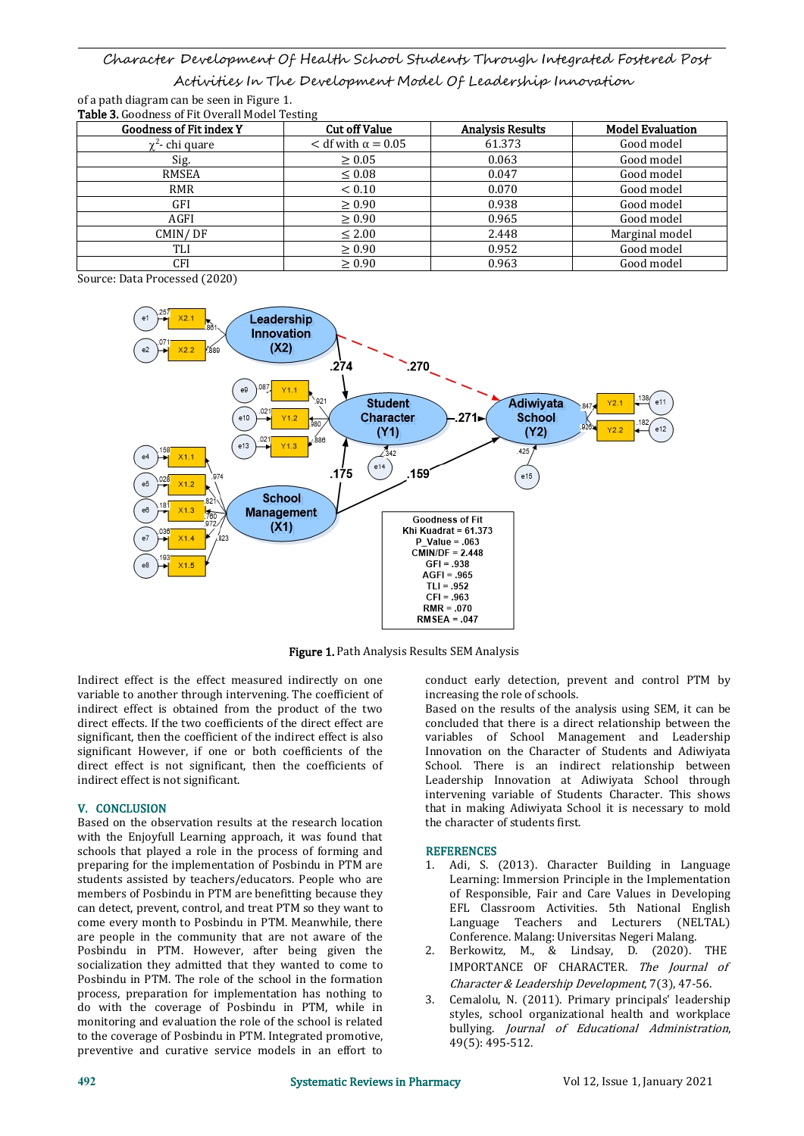of a path diagram can be seenin Figure 1. Table 3. Goodness of Fit Overall Model Testing

| <b>Goodness of Fit index Y</b> | <b>Cut off Value</b>        | <b>Analysis Results</b> | <b>Model Evaluation</b> |
|--------------------------------|-----------------------------|-------------------------|-------------------------|
| $\gamma^2$ - chi quare         | $<$ df with $\alpha$ = 0.05 | 61.373                  | Good model              |
| Sig.                           | $\geq 0.05$                 | 0.063                   | Good model              |
| RMSEA                          | $\leq 0.08$                 | 0.047                   | Good model              |
| <b>RMR</b>                     | < 0.10                      | 0.070                   | Good model              |
| GFI                            | $\geq 0.90$                 | 0.938                   | Good model              |
| AGFI                           | $\geq 0.90$                 | 0.965                   | Good model              |
| CMIN/DF                        | $\leq 2.00$                 | 2.448                   | Marginal model          |
| TLI                            | $\geq 0.90$                 | 0.952                   | Good model              |
| CFI                            | $\geq 0.90$                 | 0.963                   | Good model              |

Source: Data Processed (2020)



Figure 1. Path Analysis Results SEM Analysis

Indirect effect is the effect measured indirectly on one variable to another through intervening. The coefficient of indirect effect is obtained from the product of the two direct effects. If the two coefficients of the direct effect are significant, then the coefficient of the indirect effect is also significant However, if one or both coefficients of the direct effect is not significant, then the coefficients of indirect effect is not significant.

### V. CONCLUSION

Based on the observation results at the research location with the Enjoyfull Learning approach, it was found that schools that played a role in the process of forming and preparing for the implementation of Posbindu in PTM are students assisted by teachers/educators. People who are members of Posbindu in PTM are benefitting because they can detect, prevent, control, and treat PTM so they want to come every month to Posbindu in PTM. Meanwhile, there are people in the community that are not aware of the<br>Poshindu in PTM However, after heing given the 2 Posbindu in PTM. However, after being given the socialization they admitted that they wanted to come to Posbindu in PTM. The role of the school in the formation process, preparation for implementation has nothing to do with the coverage of Posbindu in PTM, while in monitoring and evaluation the role of the school is related to the coverage of Posbindu in PTM. Integrated promotive, preventive and curative service models in an effort to

conduct early detection, prevent and control PTM by increasing the role of schools.

Based on the results of the analysis using SEM, it can be concluded that there is a direct relationship between the variables of School Management and Leadership Innovation on the Character of Students and Adiwiyata School. There is an indirect relationship between Leadership Innovation at Adiwiyata School through intervening variable of Students Character. This shows that in making Adiwiyata School it is necessary to mold the character of students first.

### **REFERENCES**

- 1. Adi, S. (2013). Character Building in Language Learning: Immersion Principle in the Implementation of Responsible, Fair and Care Values in Developing EFL Classroom Activities. 5th National English Language Teachers and Lecturers (NELTAL) Conference. Malang: Universitas Negeri Malang.
- Berkowitz, M., & Lindsay, D. (2020). THE IMPORTANCE OF CHARACTER. The Journal of Character & Leadership Development, 7(3), 47-56.
- 3. Cemalolu, N. (2011). Primary principals' leadership styles, school organizational health and workplace bullying. Journal of Educational Administration, 49(5): 495-512.